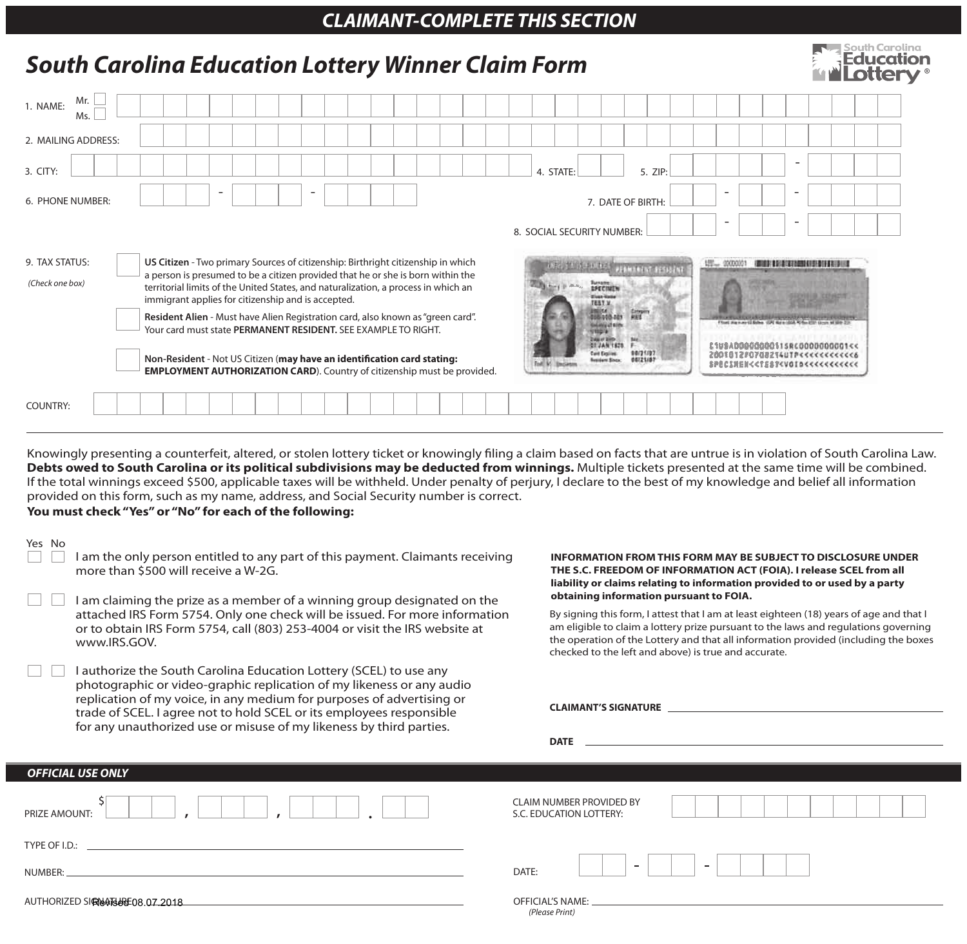## *CLAIMANT-COMPLETE THIS SECTION*

|                                                                                                                                                                                                                                                                                                                                                                                                                                                                                    | <b>South Carolina Education Lottery Winner Claim Form</b>                                                                                                                                                                                                                                                                                                                                                                                                                                                                                                                                                                                                               |                                                                                                                                                                                                                                                                                                                                                                                                                                                                                                                                                                                                                                    |                   |  |  |  |                                                                                                                                             |  |  |  |  |  |  |                                                                                                                                                   | South Carolina<br>Fducation                                                                                                                                                                                                                                                                                                                                                                                                   |  |  |  |  |                                                                      |  |  |  |         |  |  |  |  |  |  |  |                                                                                                                                                                         |
|------------------------------------------------------------------------------------------------------------------------------------------------------------------------------------------------------------------------------------------------------------------------------------------------------------------------------------------------------------------------------------------------------------------------------------------------------------------------------------|-------------------------------------------------------------------------------------------------------------------------------------------------------------------------------------------------------------------------------------------------------------------------------------------------------------------------------------------------------------------------------------------------------------------------------------------------------------------------------------------------------------------------------------------------------------------------------------------------------------------------------------------------------------------------|------------------------------------------------------------------------------------------------------------------------------------------------------------------------------------------------------------------------------------------------------------------------------------------------------------------------------------------------------------------------------------------------------------------------------------------------------------------------------------------------------------------------------------------------------------------------------------------------------------------------------------|-------------------|--|--|--|---------------------------------------------------------------------------------------------------------------------------------------------|--|--|--|--|--|--|---------------------------------------------------------------------------------------------------------------------------------------------------|-------------------------------------------------------------------------------------------------------------------------------------------------------------------------------------------------------------------------------------------------------------------------------------------------------------------------------------------------------------------------------------------------------------------------------|--|--|--|--|----------------------------------------------------------------------|--|--|--|---------|--|--|--|--|--|--|--|-------------------------------------------------------------------------------------------------------------------------------------------------------------------------|
| 1. NAME:                                                                                                                                                                                                                                                                                                                                                                                                                                                                           | Mr.<br>Ms.                                                                                                                                                                                                                                                                                                                                                                                                                                                                                                                                                                                                                                                              |                                                                                                                                                                                                                                                                                                                                                                                                                                                                                                                                                                                                                                    |                   |  |  |  |                                                                                                                                             |  |  |  |  |  |  |                                                                                                                                                   |                                                                                                                                                                                                                                                                                                                                                                                                                               |  |  |  |  |                                                                      |  |  |  |         |  |  |  |  |  |  |  |                                                                                                                                                                         |
| 2. MAILING ADDRESS:                                                                                                                                                                                                                                                                                                                                                                                                                                                                |                                                                                                                                                                                                                                                                                                                                                                                                                                                                                                                                                                                                                                                                         |                                                                                                                                                                                                                                                                                                                                                                                                                                                                                                                                                                                                                                    |                   |  |  |  |                                                                                                                                             |  |  |  |  |  |  |                                                                                                                                                   |                                                                                                                                                                                                                                                                                                                                                                                                                               |  |  |  |  |                                                                      |  |  |  |         |  |  |  |  |  |  |  |                                                                                                                                                                         |
| 3. CITY:                                                                                                                                                                                                                                                                                                                                                                                                                                                                           |                                                                                                                                                                                                                                                                                                                                                                                                                                                                                                                                                                                                                                                                         |                                                                                                                                                                                                                                                                                                                                                                                                                                                                                                                                                                                                                                    |                   |  |  |  |                                                                                                                                             |  |  |  |  |  |  |                                                                                                                                                   |                                                                                                                                                                                                                                                                                                                                                                                                                               |  |  |  |  | 4. STATE:                                                            |  |  |  | 5. ZIP: |  |  |  |  |  |  |  |                                                                                                                                                                         |
| 6. PHONE NUMBER:                                                                                                                                                                                                                                                                                                                                                                                                                                                                   |                                                                                                                                                                                                                                                                                                                                                                                                                                                                                                                                                                                                                                                                         |                                                                                                                                                                                                                                                                                                                                                                                                                                                                                                                                                                                                                                    | 7. DATE OF BIRTH: |  |  |  |                                                                                                                                             |  |  |  |  |  |  |                                                                                                                                                   |                                                                                                                                                                                                                                                                                                                                                                                                                               |  |  |  |  |                                                                      |  |  |  |         |  |  |  |  |  |  |  |                                                                                                                                                                         |
| 8. SOCIAL SECURITY NUMBER:                                                                                                                                                                                                                                                                                                                                                                                                                                                         |                                                                                                                                                                                                                                                                                                                                                                                                                                                                                                                                                                                                                                                                         |                                                                                                                                                                                                                                                                                                                                                                                                                                                                                                                                                                                                                                    |                   |  |  |  |                                                                                                                                             |  |  |  |  |  |  |                                                                                                                                                   |                                                                                                                                                                                                                                                                                                                                                                                                                               |  |  |  |  |                                                                      |  |  |  |         |  |  |  |  |  |  |  |                                                                                                                                                                         |
|                                                                                                                                                                                                                                                                                                                                                                                                                                                                                    | 9. TAX STATUS:<br>US Citizen - Two primary Sources of citizenship: Birthright citizenship in which<br>a person is presumed to be a citizen provided that he or she is born within the<br>(Check one box)<br>territorial limits of the United States, and naturalization, a process in which an<br>immigrant applies for citizenship and is accepted.<br>Resident Alien - Must have Alien Registration card, also known as "green card".<br>Your card must state PERMANENT RESIDENT. SEE EXAMPLE TO RIGHT.<br>Non-Resident - Not US Citizen (may have an identification card stating:<br><b>EMPLOYMENT AUTHORIZATION CARD).</b> Country of citizenship must be provided. |                                                                                                                                                                                                                                                                                                                                                                                                                                                                                                                                                                                                                                    |                   |  |  |  |                                                                                                                                             |  |  |  |  |  |  |                                                                                                                                                   | 12000001<br><b>EXISTENT ROOM AND ALL AND A REPORT</b><br><b>INTERFERING WARRANT PERSONAL</b><br><b>Lynn</b><br><b>Row &amp; B. Motters</b><br>TESY.M.<br>龗<br>05403-201<br><b>DE JAN 1828</b><br>C1V9A0000000011SRC0000000001<<<br>00/21/27<br>Card Expires:<br>200101280708214U1P<<<<<<<<<<<br>00121/07<br>voident Since<br>FPECIMENくくTEST <voidくくくくくくくくくくくく< td=""><td></td><td></td><td></td><td></td></voidくくくくくくくくくくくく<> |  |  |  |  |                                                                      |  |  |  |         |  |  |  |  |  |  |  |                                                                                                                                                                         |
| <b>COUNTRY:</b>                                                                                                                                                                                                                                                                                                                                                                                                                                                                    |                                                                                                                                                                                                                                                                                                                                                                                                                                                                                                                                                                                                                                                                         |                                                                                                                                                                                                                                                                                                                                                                                                                                                                                                                                                                                                                                    |                   |  |  |  |                                                                                                                                             |  |  |  |  |  |  |                                                                                                                                                   |                                                                                                                                                                                                                                                                                                                                                                                                                               |  |  |  |  |                                                                      |  |  |  |         |  |  |  |  |  |  |  |                                                                                                                                                                         |
| Debts owed to South Carolina or its political subdivisions may be deducted from winnings. Multiple tickets presented at the same time will be combined.<br>If the total winnings exceed \$500, applicable taxes will be withheld. Under penalty of perjury, I declare to the best of my knowledge and belief all information<br>provided on this form, such as my name, address, and Social Security number is correct.<br>You must check "Yes" or "No" for each of the following: |                                                                                                                                                                                                                                                                                                                                                                                                                                                                                                                                                                                                                                                                         |                                                                                                                                                                                                                                                                                                                                                                                                                                                                                                                                                                                                                                    |                   |  |  |  |                                                                                                                                             |  |  |  |  |  |  |                                                                                                                                                   |                                                                                                                                                                                                                                                                                                                                                                                                                               |  |  |  |  |                                                                      |  |  |  |         |  |  |  |  |  |  |  | Knowingly presenting a counterfeit, altered, or stolen lottery ticket or knowingly filing a claim based on facts that are untrue is in violation of South Carolina Law. |
| Yes No                                                                                                                                                                                                                                                                                                                                                                                                                                                                             | I am the only person entitled to any part of this payment. Claimants receiving<br>more than \$500 will receive a W-2G.                                                                                                                                                                                                                                                                                                                                                                                                                                                                                                                                                  |                                                                                                                                                                                                                                                                                                                                                                                                                                                                                                                                                                                                                                    |                   |  |  |  |                                                                                                                                             |  |  |  |  |  |  | THE S.C. FREEDOM OF INFORMATION ACT (FOIA). I release SCEL from all<br>liability or claims relating to information provided to or used by a party |                                                                                                                                                                                                                                                                                                                                                                                                                               |  |  |  |  | <b>INFORMATION FROM THIS FORM MAY BE SUBJECT TO DISCLOSURE UNDER</b> |  |  |  |         |  |  |  |  |  |  |  |                                                                                                                                                                         |
|                                                                                                                                                                                                                                                                                                                                                                                                                                                                                    |                                                                                                                                                                                                                                                                                                                                                                                                                                                                                                                                                                                                                                                                         | obtaining information pursuant to FOIA.<br>I am claiming the prize as a member of a winning group designated on the<br>attached IRS Form 5754. Only one check will be issued. For more information<br>By signing this form, I attest that I am at least eighteen (18) years of age and that I<br>am eligible to claim a lottery prize pursuant to the laws and regulations governing<br>or to obtain IRS Form 5754, call (803) 253-4004 or visit the IRS website at<br>the operation of the Lottery and that all information provided (including the boxes<br>www.IRS.GOV.<br>checked to the left and above) is true and accurate. |                   |  |  |  |                                                                                                                                             |  |  |  |  |  |  |                                                                                                                                                   |                                                                                                                                                                                                                                                                                                                                                                                                                               |  |  |  |  |                                                                      |  |  |  |         |  |  |  |  |  |  |  |                                                                                                                                                                         |
|                                                                                                                                                                                                                                                                                                                                                                                                                                                                                    |                                                                                                                                                                                                                                                                                                                                                                                                                                                                                                                                                                                                                                                                         |                                                                                                                                                                                                                                                                                                                                                                                                                                                                                                                                                                                                                                    |                   |  |  |  | I authorize the South Carolina Education Lottery (SCEL) to use any<br>photographic or video-graphic replication of my likeness or any audio |  |  |  |  |  |  |                                                                                                                                                   |                                                                                                                                                                                                                                                                                                                                                                                                                               |  |  |  |  |                                                                      |  |  |  |         |  |  |  |  |  |  |  |                                                                                                                                                                         |

replication of my voice, in any medium for purposes of advertising or **CLAIMANT'S SIGNATURE** trade of SCEL. I agree not to hold SCEL or its employees responsible for any unauthorized use or misuse of my likeness by third parties. **DATE** *OFFICIAL USE ONLY* CLAIM NUMBER PROVIDED BY PRIZE AMOUNT: **, , .** \$ S.C. EDUCATION LOTTERY: TYPE OF I.D.:  $\overline{a}$ NUMBER: DATE: OFFICIAL'S NAME: AUTHORIZED SIQNATURE 08.07.2018 *(Please Print)*